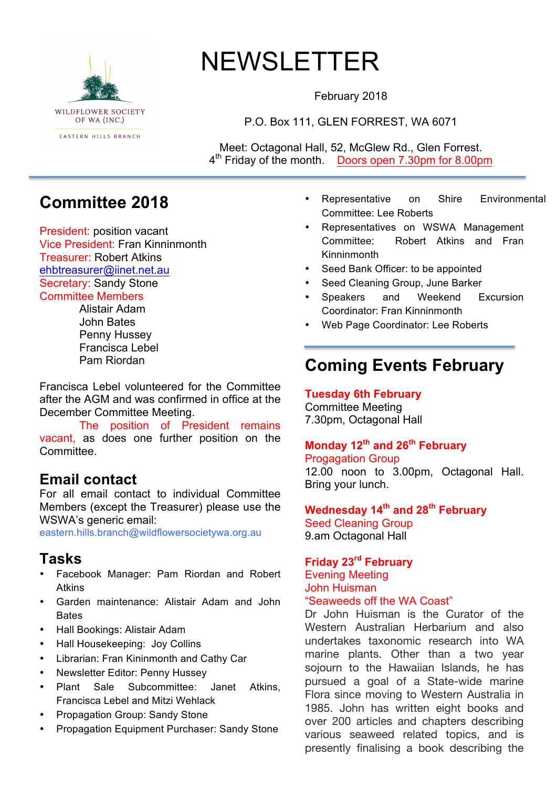

# NEWSLETTER

February 2018

P.O. Box 111, GLEN FORREST, WA 6071

Meet: Octagonal Hall, 52, McGlew Rd., Glen Forrest. 4<sup>th</sup> Friday of the month. Doors open 7.30pm for 8.00pm

# **Committee 2018**

President: position vacant Vice President: Fran Kinninmonth Treasurer: Robert Atkins ehbtreasurer@iinet.net.au Secretary: Sandy Stone Committee Members

Alistair Adam John Bates Penny Hussey Francisca Lebel Pam Riordan

Francisca Lebel volunteered for the Committee after the AGM and was confirmed in office at the December Committee Meeting.

The position of President remains vacant, as does one further position on the Committee.

# **Email contact**

For all email contact to individual Committee Members (except the Treasurer) please use the WSWA's generic email:

eastern.hills.branch@wildflowersocietywa.org.au

# **Tasks**

- Facebook Manager: Pam Riordan and Robert Atkins
- Garden maintenance: Alistair Adam and John **Bates**
- Hall Bookings: Alistair Adam
- Hall Housekeeping: Joy Collins
- Librarian: Fran Kininmonth and Cathy Car
- Newsletter Editor: Penny Hussey
- Plant Sale Subcommittee: Janet Atkins, Francisca Lebel and Mitzi Wehlack
- Propagation Group: Sandy Stone
- Propagation Equipment Purchaser: Sandy Stone
- Representative on Shire Environmental Committee: Lee Roberts
- Representatives on WSWA Management Committee: Robert Atkins and Fran Kinninmonth
- Seed Bank Officer: to be appointed
- Seed Cleaning Group, June Barker
- Speakers and Weekend Excursion Coordinator: Fran Kinninmonth
- Web Page Coordinator: Lee Roberts

# **Coming Events February**

**Tuesday 6th February** Committee Meeting 7.30pm, Octagonal Hall

## **Monday 12th and 26th February**

Progagation Group

12.00 noon to 3.00pm, Octagonal Hall. Bring your lunch.

# **Wednesday 14th and 28th February**

Seed Cleaning Group 9.am Octagonal Hall

## **Friday 23rd February**

#### Evening Meeting John Huisman "Seaweeds off the WA Coast"

Dr John Huisman is the Curator of the Western Australian Herbarium and also undertakes taxonomic research into WA marine plants. Other than a two year sojourn to the Hawaiian Islands, he has pursued a goal of a State-wide marine Flora since moving to Western Australia in 1985. John has written eight books and over 200 articles and chapters describing various seaweed related topics, and is presently finalising a book describing the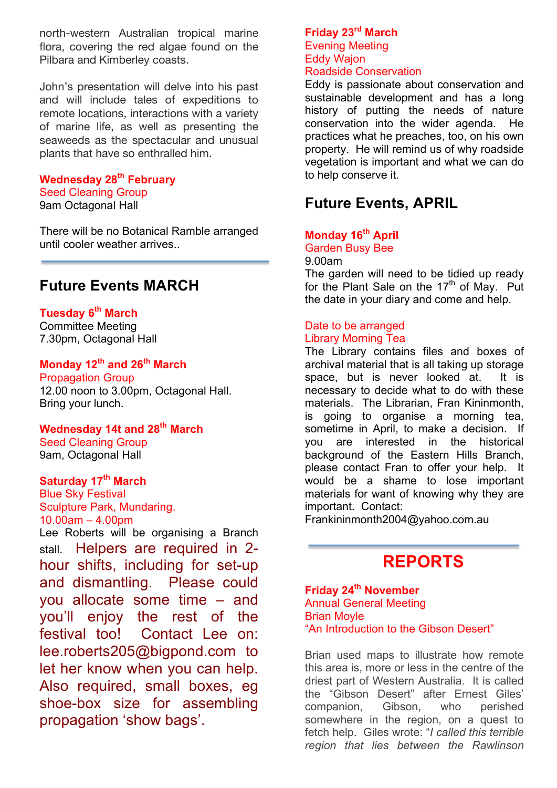north-western Australian tropical marine flora, covering the red algae found on the Pilbara and Kimberley coasts.

John's presentation will delve into his past and will include tales of expeditions to remote locations, interactions with a variety of marine life, as well as presenting the seaweeds as the spectacular and unusual plants that have so enthralled him.

#### **Wednesday 28th February**

Seed Cleaning Group 9am Octagonal Hall

There will be no Botanical Ramble arranged until cooler weather arrives..

# **Future Events MARCH**

# **Tuesday 6th March**

Committee Meeting 7.30pm, Octagonal Hall

## **Monday 12th and 26th March**

Propagation Group 12.00 noon to 3.00pm, Octagonal Hall. Bring your lunch.

## **Wednesday 14t and 28th March**

Seed Cleaning Group 9am, Octagonal Hall

### **Saturday 17th March**

Blue Sky Festival Sculpture Park, Mundaring. 10.00am – 4.00pm Lee Roberts will be organising a Branch stall. Helpers are required in 2 hour shifts, including for set-up and dismantling. Please could you allocate some time – and you'll enjoy the rest of the festival too! Contact Lee on: lee.roberts205@bigpond.com to let her know when you can help. Also required, small boxes, eg shoe-box size for assembling propagation 'show bags'.

### **Friday 23rd March** Evening Meeting

#### Eddy Wajon Roadside Conservation

Eddy is passionate about conservation and sustainable development and has a long history of putting the needs of nature conservation into the wider agenda. He practices what he preaches, too, on his own property. He will remind us of why roadside vegetation is important and what we can do to help conserve it.

# **Future Events, APRIL**

#### **Monday 16th April** Garden Busy Bee

#### 9.00am

The garden will need to be tidied up ready for the Plant Sale on the  $17<sup>th</sup>$  of May. Put the date in your diary and come and help.

#### Date to be arranged Library Morning Tea

The Library contains files and boxes of archival material that is all taking up storage space, but is never looked at. It is necessary to decide what to do with these materials. The Librarian, Fran Kininmonth, is going to organise a morning tea, sometime in April, to make a decision. If you are interested in the historical background of the Eastern Hills Branch, please contact Fran to offer your help. It would be a shame to lose important materials for want of knowing why they are important. Contact:

Frankininmonth2004@yahoo.com.au

# **REPORTS**

#### **Friday 24th November** Annual General Meeting Brian Moyle "An Introduction to the Gibson Desert"

Brian used maps to illustrate how remote this area is, more or less in the centre of the driest part of Western Australia. It is called the "Gibson Desert" after Ernest Giles' companion, Gibson, who perished somewhere in the region, on a quest to fetch help. Giles wrote: "*I called this terrible region that lies between the Rawlinson*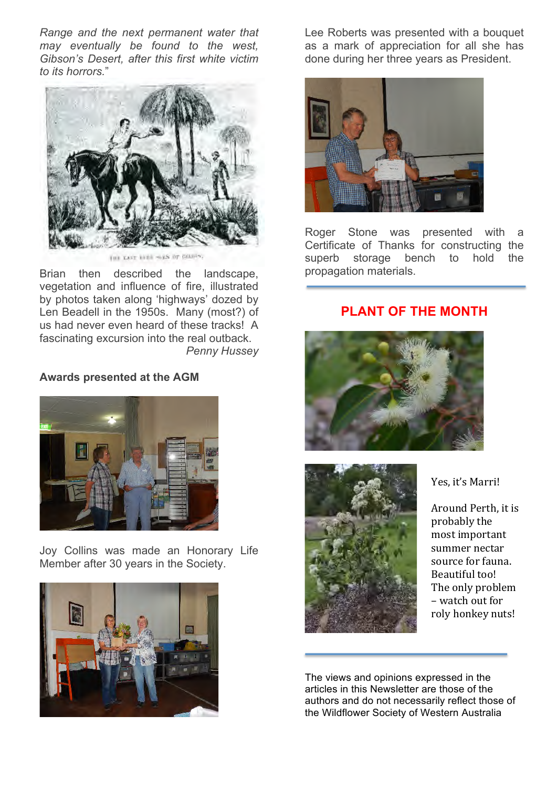*Range and the next permanent water that may eventually be found to the west, Gibson's Desert, after this first white victim to its horrors.*"



(ii) Last like was or blank,

Brian then described the landscape, vegetation and influence of fire, illustrated by photos taken along 'highways' dozed by Len Beadell in the 1950s. Many (most?) of us had never even heard of these tracks! A fascinating excursion into the real outback. *Penny Hussey*

#### **Awards presented at the AGM**



Joy Collins was made an Honorary Life Member after 30 years in the Society.



Lee Roberts was presented with a bouquet as a mark of appreciation for all she has done during her three years as President.



Roger Stone was presented with a Certificate of Thanks for constructing the superb storage bench to hold the propagation materials.

#### **PLANT OF THE MONTH**





Yes, it's Marri!

Around Perth, it is probably the most important summer nectar source for fauna. Beautiful too! The only problem – watch out for roly honkey nuts!

The views and opinions expressed in the articles in this Newsletter are those of the authors and do not necessarily reflect those of the Wildflower Society of Western Australia